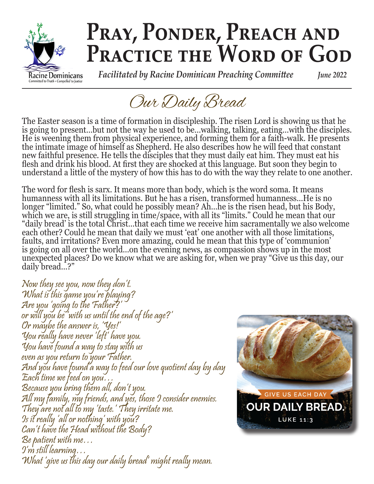

# PRAY, PONDER, PREACH AND PRACTICE THE WORD OF GOD

 *Facilitated by Racine Dominican Preaching Committee June 2022*

Our Daily Bread

The Easter season is a time of formation in discipleship. The risen Lord is showing us that he is going to present…but not the way he used to be…walking, talking, eating…with the disciples. He is weening them from physical experience, and forming them for a faith-walk. He presents the intimate image of himself as Shepherd. He also describes how he will feed that constant new faithful presence. He tells the disciples that they must daily eat him. They must eat his flesh and drink his blood. At first they are shocked at this language. But soon they begin to understand a little of the mystery of how this has to do with the way they relate to one another.

The word for flesh is sarx. It means more than body, which is the word soma. It means humanness with all its limitations. But he has a risen, transformed humanness…He is no longer "limited." So, what could he possibly mean? Ah…he is the risen head, but his Body, which we are, is still struggling in time/space, with all its "limits." Could he mean that our "daily bread' is the total Christ…that each time we receive him sacramentally we also welcome each other? Could he mean that daily we must 'eat' one another with all those limitations, faults, and irritations? Even more amazing, could he mean that this type of 'communion' is going on all over the world…on the evening news, as compassion shows up in the most unexpected places? Do we know what we are asking for, when we pray "Give us this day, our daily bread…?"

Now they see you, now they don't. What is this game you're playing? Are you 'going to the Father?' or will you be 'with us until the end of the age?' Or maybe the answer is, 'Yes!' You really have never 'left' have you. You have found a way to stay with us even as you return to your Father. And you have found a way to feed our love quotient day by day Each time we feed on you… Because you bring them all, don't you. All my family, my friends, and yes, those I consider enemies. They are not all to my 'taste.' They irritate me. Is it really 'all or nothing' with you? Can't have the Head without the Body? Be patient with me… I'm still learning… What 'give us this day our daily bread' might really mean.